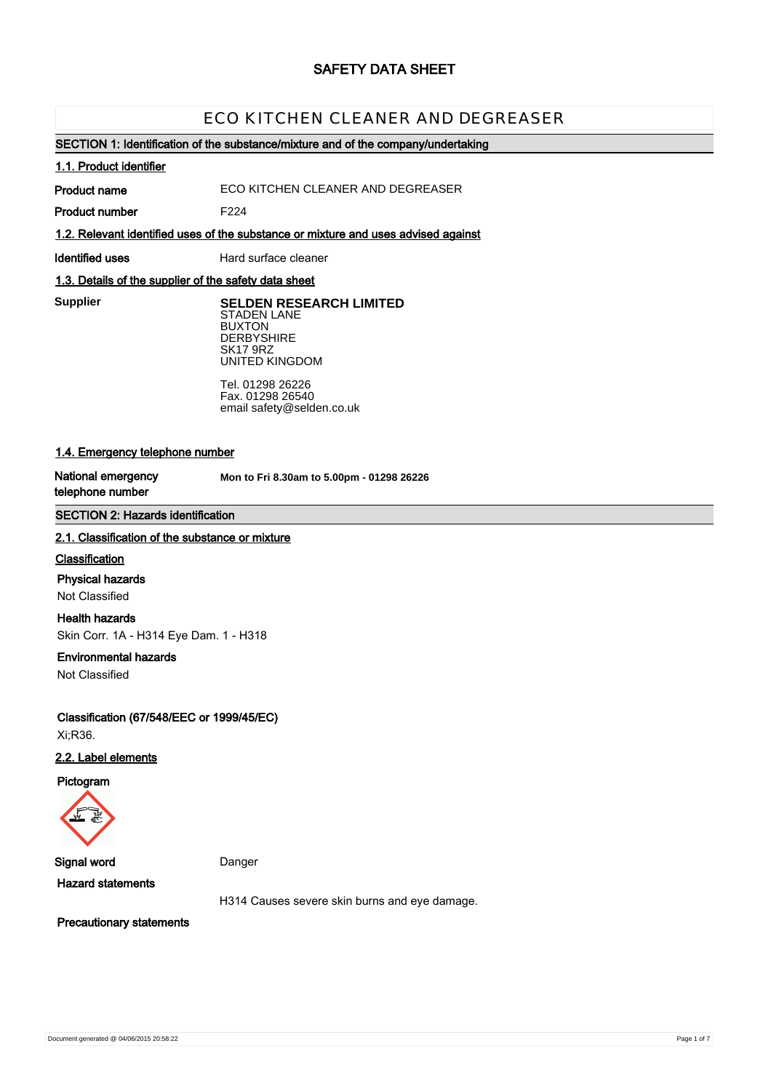# **SAFETY DATA SHEET**

# ECO KITCHEN CLEANER AND DEGREASER

### **SECTION 1: Identification of the substance/mixture and of the company/undertaking**

#### **1.1. Product identifier**

**Product name**

ECO KITCHEN CLEANER AND DEGREASER

**Product number**

**1.2. Relevant identified uses of the substance or mixture and uses advised against**

F224

**Identified uses** Hard surface cleaner

UNITED KINGDOM

### **1.3. Details of the supplier of the safety data sheet**

**Supplier** 

**Supplier SELDEN RESEARCH LIMITED** STADEN LANE BUXTON **DERBYSHIRE** SK17 9RZ

> Tel. 01298 26226 Fax. 01298 26540 email safety@selden.co.uk

### **1.4. Emergency telephone number**

**National emergency telephone number**

**Mon to Fri 8.30am to 5.00pm - 01298 26226**

### **SECTION 2: Hazards identification**

#### **2.1. Classification of the substance or mixture**

#### **Classification**

#### **Physical hazards**

Not Classified

#### **Health hazards**

Skin Corr. 1A - H314 Eye Dam. 1 - H318

#### **Environmental hazards**

Not Classified

**Classification (67/548/EEC or 1999/45/EC)** Xi;R36.

### **2.2. Label elements**

**Pictogram**



**Signal word** Danger

**Hazard statements**

H314 Causes severe skin burns and eye damage.

**Precautionary statements**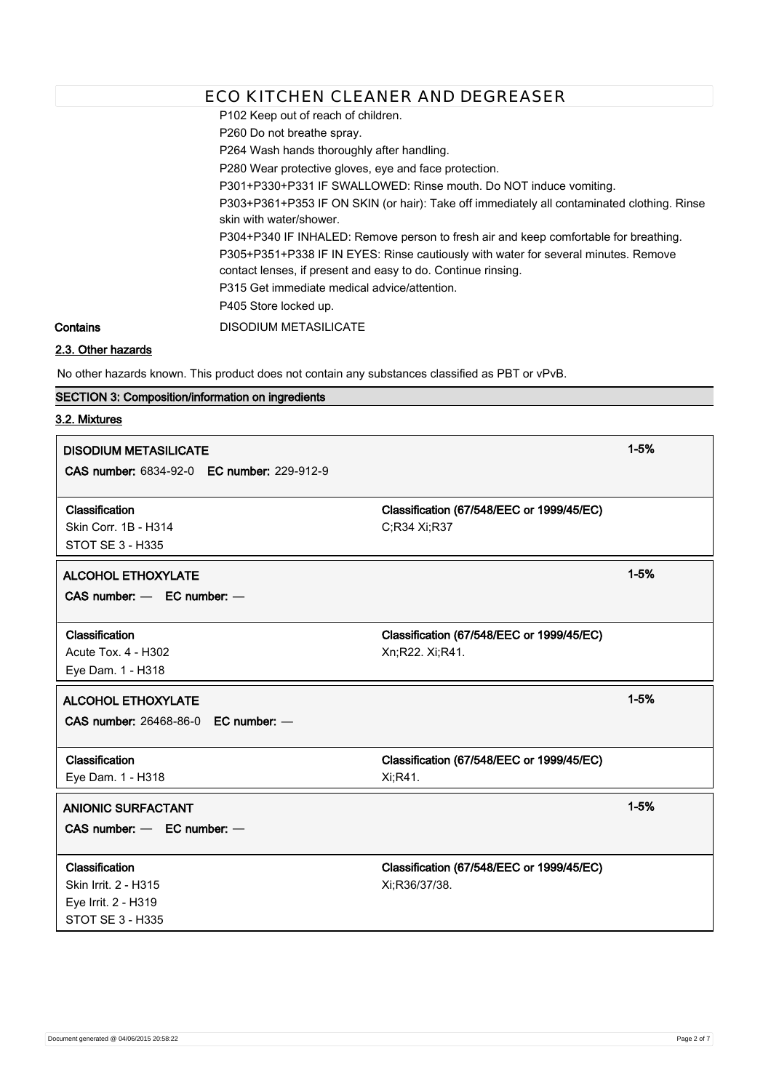P102 Keep out of reach of children.

P260 Do not breathe spray.

P264 Wash hands thoroughly after handling.

P280 Wear protective gloves, eye and face protection.

P301+P330+P331 IF SWALLOWED: Rinse mouth. Do NOT induce vomiting.

P303+P361+P353 IF ON SKIN (or hair): Take off immediately all contaminated clothing. Rinse skin with water/shower.

P304+P340 IF INHALED: Remove person to fresh air and keep comfortable for breathing.

P305+P351+P338 IF IN EYES: Rinse cautiously with water for several minutes. Remove contact lenses, if present and easy to do. Continue rinsing.

P315 Get immediate medical advice/attention.

P405 Store locked up.

**Contains** DISODIUM METASILICATE

# **2.3. Other hazards**

No other hazards known. This product does not contain any substances classified as PBT or vPvB.

### **SECTION 3: Composition/information on ingredients**

### **3.2. Mixtures**

| <b>DISODIUM METASILICATE</b>               |                                           | $1 - 5%$ |
|--------------------------------------------|-------------------------------------------|----------|
| CAS number: 6834-92-0 EC number: 229-912-9 |                                           |          |
| Classification                             | Classification (67/548/EEC or 1999/45/EC) |          |
| Skin Corr. 1B - H314                       | C;R34 Xi;R37                              |          |
| <b>STOT SE 3 - H335</b>                    |                                           |          |
| <b>ALCOHOL ETHOXYLATE</b>                  |                                           | $1 - 5%$ |
| CAS number: - EC number: -                 |                                           |          |
|                                            |                                           |          |
| Classification                             | Classification (67/548/EEC or 1999/45/EC) |          |
| <b>Acute Tox. 4 - H302</b>                 | Xn;R22. Xi;R41.                           |          |
| Eye Dam. 1 - H318                          |                                           |          |
| <b>ALCOHOL ETHOXYLATE</b>                  |                                           | $1 - 5%$ |
| CAS number: 26468-86-0 EC number: -        |                                           |          |
|                                            |                                           |          |
| Classification                             | Classification (67/548/EEC or 1999/45/EC) |          |
| Eye Dam. 1 - H318                          | Xi;R41.                                   |          |
| <b>ANIONIC SURFACTANT</b>                  |                                           | $1 - 5%$ |
| $CAS$ number: $-$ EC number: $-$           |                                           |          |
|                                            |                                           |          |
| Classification                             | Classification (67/548/EEC or 1999/45/EC) |          |
| Skin Irrit. 2 - H315                       | Xi:R36/37/38.                             |          |
| Eye Irrit. 2 - H319                        |                                           |          |
| STOT SE 3 - H335                           |                                           |          |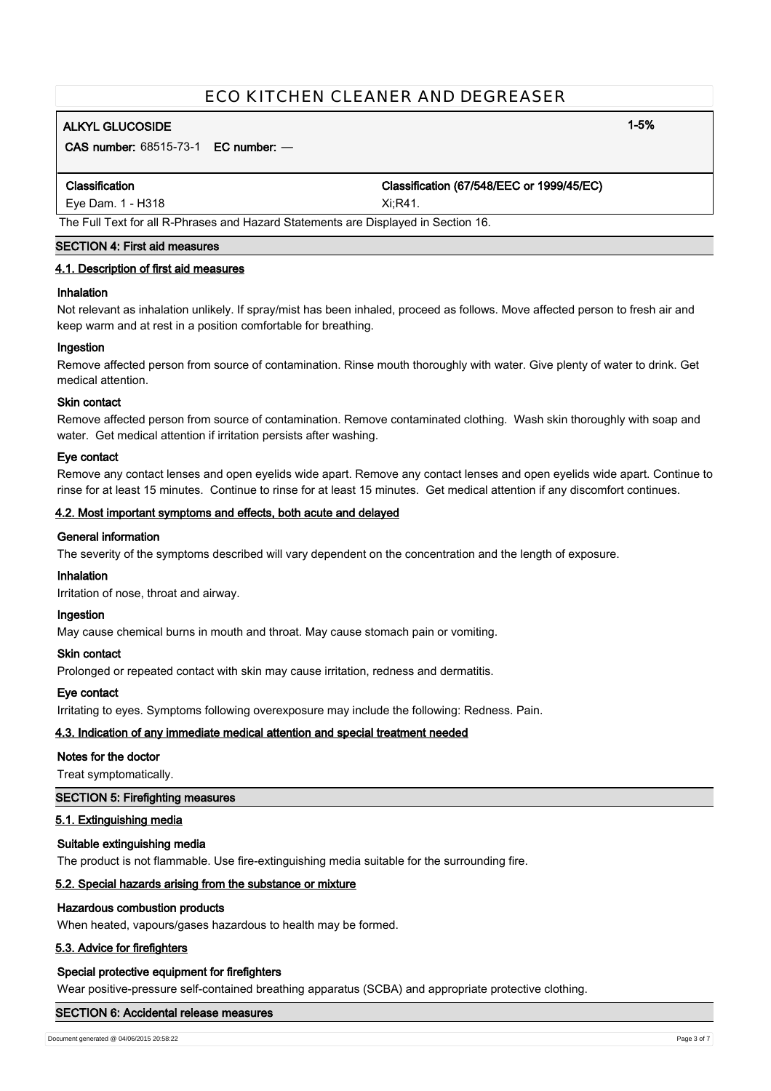# **ALKYL GLUCOSIDE 1-5%**

**CAS number:** 68515-73-1 **EC number:** —

**Classification Classification (67/548/EEC or 1999/45/EC)**

Eye Dam. 1 - H318 Xi;R41.

## The Full Text for all R-Phrases and Hazard Statements are Displayed in Section 16.

### **SECTION 4: First aid measures**

### **4.1. Description of first aid measures**

### **Inhalation**

Not relevant as inhalation unlikely. If spray/mist has been inhaled, proceed as follows. Move affected person to fresh air and keep warm and at rest in a position comfortable for breathing.

#### **Ingestion**

Remove affected person from source of contamination. Rinse mouth thoroughly with water. Give plenty of water to drink. Get medical attention.

#### **Skin contact**

Remove affected person from source of contamination. Remove contaminated clothing. Wash skin thoroughly with soap and water. Get medical attention if irritation persists after washing.

#### **Eye contact**

Remove any contact lenses and open eyelids wide apart. Remove any contact lenses and open eyelids wide apart. Continue to rinse for at least 15 minutes. Continue to rinse for at least 15 minutes. Get medical attention if any discomfort continues.

#### **4.2. Most important symptoms and effects, both acute and delayed**

### **General information**

The severity of the symptoms described will vary dependent on the concentration and the length of exposure.

#### **Inhalation**

Irritation of nose, throat and airway.

#### **Ingestion**

May cause chemical burns in mouth and throat. May cause stomach pain or vomiting.

#### **Skin contact**

Prolonged or repeated contact with skin may cause irritation, redness and dermatitis.

### **Eye contact**

Irritating to eyes. Symptoms following overexposure may include the following: Redness. Pain.

### **4.3. Indication of any immediate medical attention and special treatment needed**

#### **Notes for the doctor**

Treat symptomatically.

#### **SECTION 5: Firefighting measures**

### **5.1. Extinguishing media**

#### **Suitable extinguishing media**

The product is not flammable. Use fire-extinguishing media suitable for the surrounding fire.

### **5.2. Special hazards arising from the substance or mixture**

### **Hazardous combustion products**

When heated, vapours/gases hazardous to health may be formed.

### **5.3. Advice for firefighters**

### **Special protective equipment for firefighters**

Wear positive-pressure self-contained breathing apparatus (SCBA) and appropriate protective clothing.

#### **SECTION 6: Accidental release measures**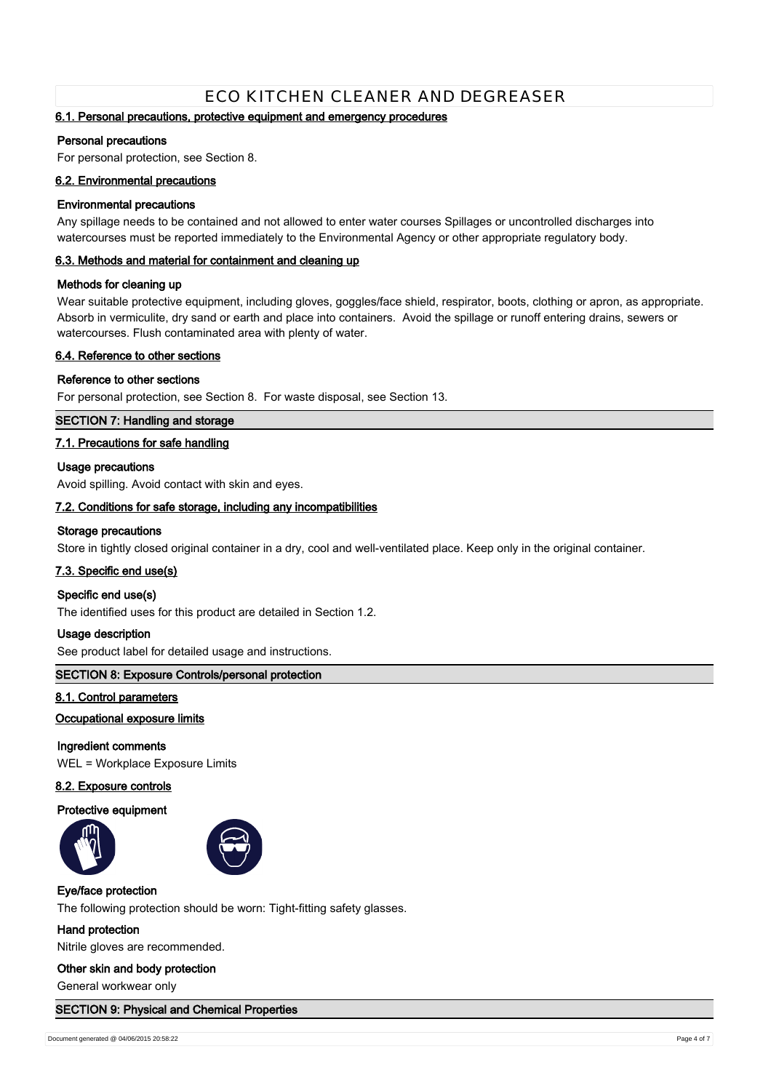### **6.1. Personal precautions, protective equipment and emergency procedures**

#### **Personal precautions**

For personal protection, see Section 8.

#### **6.2. Environmental precautions**

#### **Environmental precautions**

Any spillage needs to be contained and not allowed to enter water courses Spillages or uncontrolled discharges into watercourses must be reported immediately to the Environmental Agency or other appropriate regulatory body.

#### **6.3. Methods and material for containment and cleaning up**

### **Methods for cleaning up**

Wear suitable protective equipment, including gloves, goggles/face shield, respirator, boots, clothing or apron, as appropriate. Absorb in vermiculite, dry sand or earth and place into containers. Avoid the spillage or runoff entering drains, sewers or watercourses. Flush contaminated area with plenty of water.

#### **6.4. Reference to other sections**

#### **Reference to other sections**

For personal protection, see Section 8. For waste disposal, see Section 13.

### **SECTION 7: Handling and storage**

### **7.1. Precautions for safe handling**

#### **Usage precautions**

Avoid spilling. Avoid contact with skin and eyes.

### **7.2. Conditions for safe storage, including any incompatibilities**

#### **Storage precautions**

Store in tightly closed original container in a dry, cool and well-ventilated place. Keep only in the original container.

#### **7.3. Specific end use(s)**

### **Specific end use(s)**

The identified uses for this product are detailed in Section 1.2.

#### **Usage description**

See product label for detailed usage and instructions.

### **SECTION 8: Exposure Controls/personal protection**

### **8.1. Control parameters**

### **Occupational exposure limits**

#### **Ingredient comments**

WEL = Workplace Exposure Limits

#### **8.2. Exposure controls**

#### **Protective equipment**





#### **Eye/face protection**

The following protection should be worn: Tight-fitting safety glasses.

#### **Hand protection**

Nitrile gloves are recommended.

#### **Other skin and body protection**

General workwear only

#### **SECTION 9: Physical and Chemical Properties**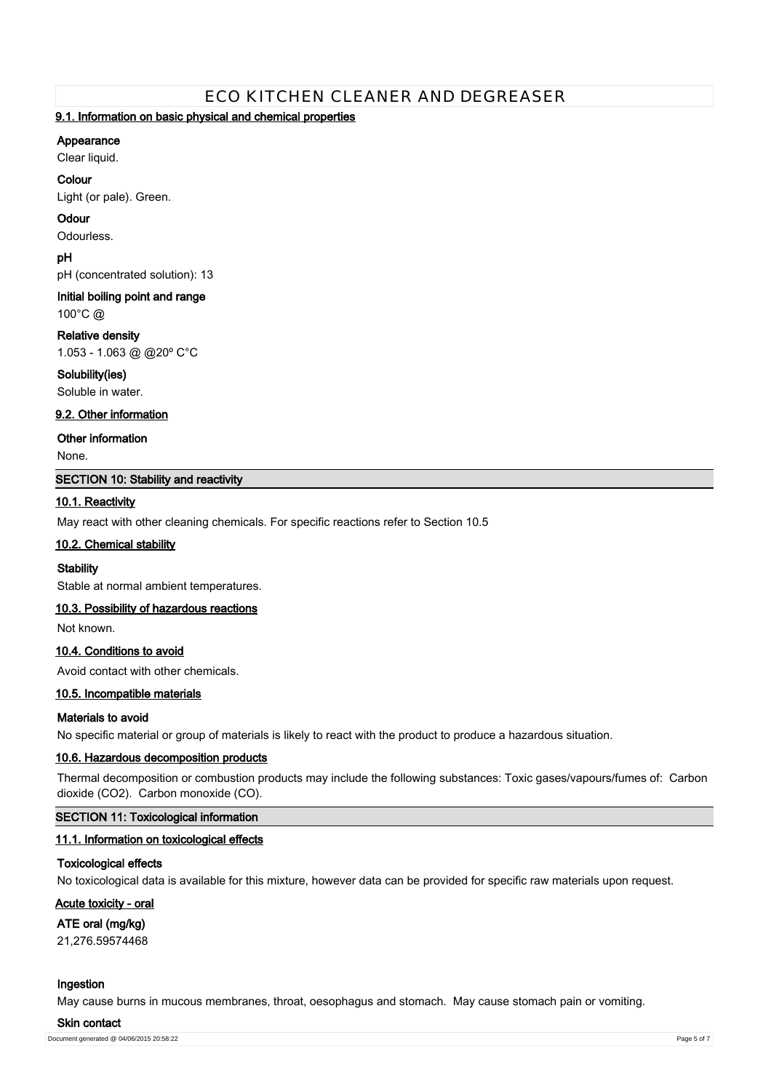### **9.1. Information on basic physical and chemical properties**

### **Appearance**

Clear liquid.

### **Colour**

Light (or pale). Green.

### **Odour**

Odourless.

### **pH**

pH (concentrated solution): 13

# **Initial boiling point and range**

100°C @

### **Relative density**

1.053 - 1.063 @ @20º C°C

### **Solubility(ies)**

Soluble in water.

### **9.2. Other information**

**Other information**

None.

### **SECTION 10: Stability and reactivity**

### **10.1. Reactivity**

May react with other cleaning chemicals. For specific reactions refer to Section 10.5

### **10.2. Chemical stability**

### **Stability**

Stable at normal ambient temperatures.

### **10.3. Possibility of hazardous reactions**

Not known.

### **10.4. Conditions to avoid**

Avoid contact with other chemicals.

### **10.5. Incompatible materials**

### **Materials to avoid**

No specific material or group of materials is likely to react with the product to produce a hazardous situation.

### **10.6. Hazardous decomposition products**

Thermal decomposition or combustion products may include the following substances: Toxic gases/vapours/fumes of: Carbon dioxide (CO2). Carbon monoxide (CO).

### **SECTION 11: Toxicological information**

### **11.1. Information on toxicological effects**

### **Toxicological effects**

No toxicological data is available for this mixture, however data can be provided for specific raw materials upon request.

### **Acute toxicity - oral**

### **ATE oral (mg/kg)**

21,276.59574468

### **Ingestion**

May cause burns in mucous membranes, throat, oesophagus and stomach. May cause stomach pain or vomiting.

#### **Skin contact**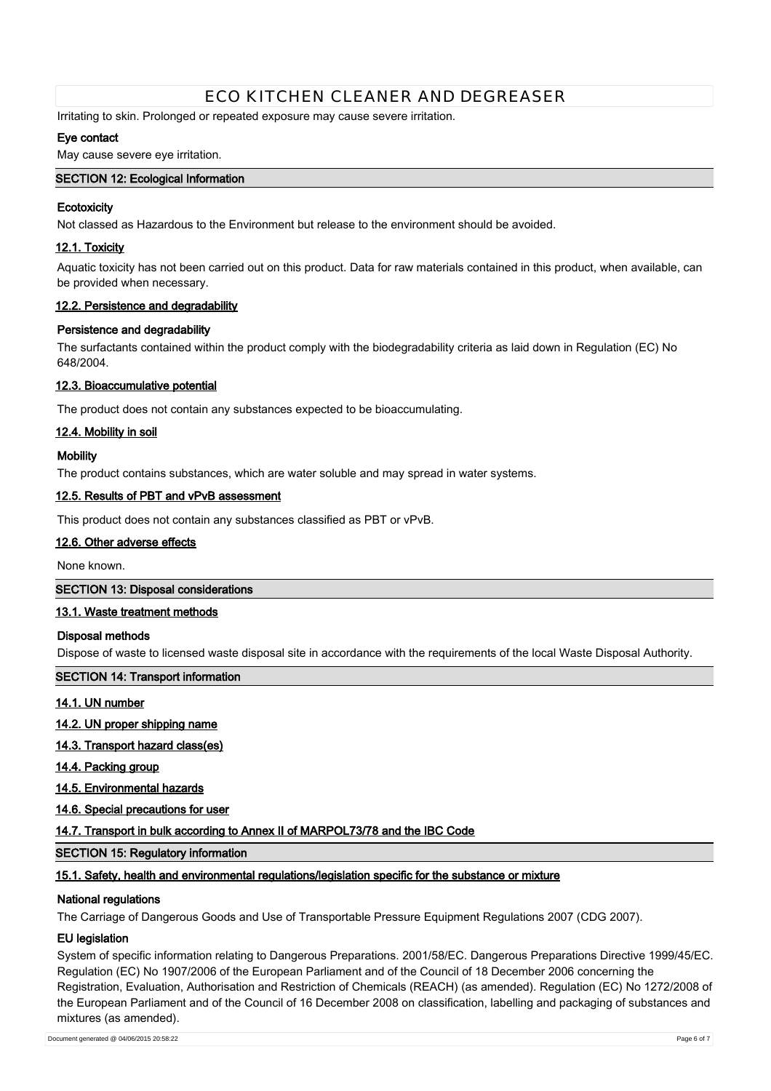Irritating to skin. Prolonged or repeated exposure may cause severe irritation.

### **Eye contact**

May cause severe eye irritation.

### **SECTION 12: Ecological Information**

### **Ecotoxicity**

Not classed as Hazardous to the Environment but release to the environment should be avoided.

### **12.1. Toxicity**

Aquatic toxicity has not been carried out on this product. Data for raw materials contained in this product, when available, can be provided when necessary.

### **12.2. Persistence and degradability**

#### **Persistence and degradability**

The surfactants contained within the product comply with the biodegradability criteria as laid down in Regulation (EC) No 648/2004.

#### **12.3. Bioaccumulative potential**

The product does not contain any substances expected to be bioaccumulating.

#### **12.4. Mobility in soil**

#### **Mobility**

The product contains substances, which are water soluble and may spread in water systems.

#### **12.5. Results of PBT and vPvB assessment**

This product does not contain any substances classified as PBT or vPvB.

#### **12.6. Other adverse effects**

None known.

### **SECTION 13: Disposal considerations**

### **13.1. Waste treatment methods**

#### **Disposal methods**

Dispose of waste to licensed waste disposal site in accordance with the requirements of the local Waste Disposal Authority.

### **SECTION 14: Transport information**

### **14.1. UN number**

**14.2. UN proper shipping name**

- **14.3. Transport hazard class(es)**
- **14.4. Packing group**
- **14.5. Environmental hazards**
- **14.6. Special precautions for user**

### **14.7. Transport in bulk according to Annex II of MARPOL73/78 and the IBC Code**

#### **SECTION 15: Regulatory information**

#### **15.1. Safety, health and environmental regulations/legislation specific for the substance or mixture**

#### **National regulations**

The Carriage of Dangerous Goods and Use of Transportable Pressure Equipment Regulations 2007 (CDG 2007).

#### **EU legislation**

System of specific information relating to Dangerous Preparations. 2001/58/EC. Dangerous Preparations Directive 1999/45/EC. Regulation (EC) No 1907/2006 of the European Parliament and of the Council of 18 December 2006 concerning the Registration, Evaluation, Authorisation and Restriction of Chemicals (REACH) (as amended). Regulation (EC) No 1272/2008 of the European Parliament and of the Council of 16 December 2008 on classification, labelling and packaging of substances and mixtures (as amended).